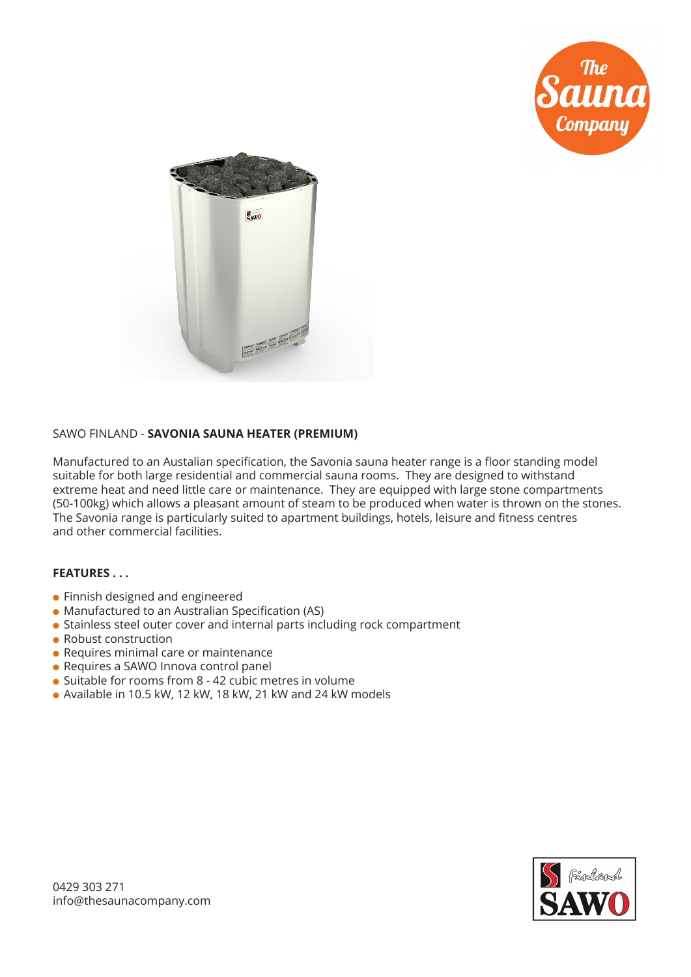



## SAWO FINLAND - **SAVONIA SAUNA HEATER (PREMIUM)**

Manufactured to an Austalian specification, the Savonia sauna heater range is a floor standing model suitable for both large residential and commercial sauna rooms. They are designed to withstand extreme heat and need little care or maintenance. They are equipped with large stone compartments (50-100kg) which allows a pleasant amount of steam to be produced when water is thrown on the stones. The Savonia range is particularly suited to apartment buildings, hotels, leisure and fitness centres and other commercial facilities.

## **FEATURES . . .**

- **.** Finnish designed and engineered
- Manufactured to an Australian Specification (AS)
- Stainless steel outer cover and internal parts including rock compartment
- $\bullet$  Robust construction
- $\bullet$  Requires minimal care or maintenance
- Requires a SAWO Innova control panel
- $\bullet$  Suitable for rooms from 8 42 cubic metres in volume
- $\bullet$  Available in 10.5 kW, 12 kW, 18 kW, 21 kW and 24 kW models